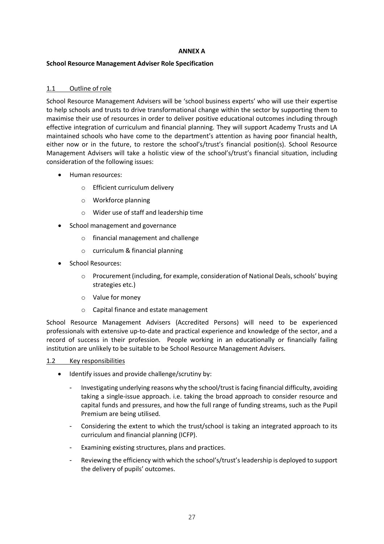## **ANNEX A**

## **School Resource Management Adviser Role Specification**

# 1.1 Outline of role

School Resource Management Advisers will be 'school business experts' who will use their expertise to help schools and trusts to drive transformational change within the sector by supporting them to maximise their use of resources in order to deliver positive educational outcomes including through effective integration of curriculum and financial planning. They will support Academy Trusts and LA maintained schools who have come to the department's attention as having poor financial health, either now or in the future, to restore the school's/trust's financial position(s). School Resource Management Advisers will take a holistic view of the school's/trust's financial situation, including consideration of the following issues:

- · Human resources:
	- o Efficient curriculum delivery
	- o Workforce planning
	- o Wider use of staff and leadership time
- · School management and governance
	- o financial management and challenge
	- o curriculum & financial planning
- School Resources:
	- o Procurement (including, for example, consideration of National Deals, schools' buying strategies etc.)
	- o Value for money
	- o Capital finance and estate management

School Resource Management Advisers (Accredited Persons) will need to be experienced professionals with extensive up-to-date and practical experience and knowledge of the sector, and a record of success in their profession. People working in an educationally or financially failing institution are unlikely to be suitable to be School Resource Management Advisers.

## 1.2 Key responsibilities

- · Identify issues and provide challenge/scrutiny by:
	- Investigating underlying reasons why the school/trust is facing financial difficulty, avoiding taking a single-issue approach. i.e. taking the broad approach to consider resource and capital funds and pressures, and how the full range of funding streams, such as the Pupil Premium are being utilised.
	- Considering the extent to which the trust/school is taking an integrated approach to its curriculum and financial planning (ICFP).
	- Examining existing structures, plans and practices.
	- Reviewing the efficiency with which the school's/trust's leadership is deployed to support the delivery of pupils' outcomes.